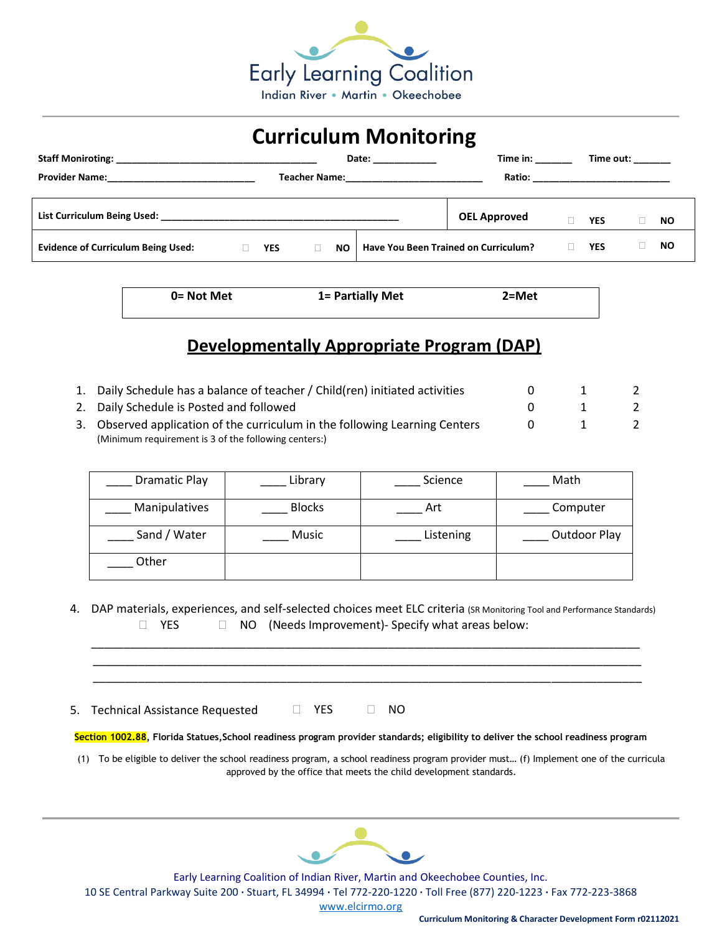

## **Curriculum Monitoring**

|                                                                           |            |    | Date: the contract of the contract of the contract of the contract of the contract of the contract of the contract of the contract of the contract of the contract of the contract of the contract of the contract of the cont | Time in:                             |            | Time out: |           |
|---------------------------------------------------------------------------|------------|----|--------------------------------------------------------------------------------------------------------------------------------------------------------------------------------------------------------------------------------|--------------------------------------|------------|-----------|-----------|
| <b>Provider Name:</b>                                                     |            |    |                                                                                                                                                                                                                                |                                      |            |           |           |
|                                                                           |            |    |                                                                                                                                                                                                                                |                                      |            |           |           |
| List Curriculum Being Used: National Action of the Curriculum Being Used: |            |    |                                                                                                                                                                                                                                | <b>OEL Approved</b>                  | <b>YES</b> |           | NO.       |
| <b>Evidence of Curriculum Being Used:</b>                                 | <b>YES</b> | NO |                                                                                                                                                                                                                                | Have You Been Trained on Curriculum? | <b>YES</b> |           | <b>NO</b> |

| 0= Not Met | 1= Partially Met | $2 = Met$ |  |
|------------|------------------|-----------|--|
|            |                  |           |  |

## **Developmentally Appropriate Program (DAP)**

| 1. Daily Schedule has a balance of teacher / Child(ren) initiated activities |              |    |
|------------------------------------------------------------------------------|--------------|----|
| 2. Daily Schedule is Posted and followed                                     | $\mathbf{1}$ | -2 |
| 3. Observed application of the curriculum in the following Learning Centers  |              |    |
| (Minimum requirement is 3 of the following centers:)                         |              |    |

| <b>Dramatic Play</b> | Library       | Science   | Math         |
|----------------------|---------------|-----------|--------------|
| Manipulatives        | <b>Blocks</b> | Art       | Computer     |
| Sand / Water         | Music         | Listening | Outdoor Play |
| Other                |               |           |              |

4. DAP materials, experiences, and self-selected choices meet ELC criteria (SR Monitoring Tool and Performance Standards)  $\Box$  YES  $\Box$  NO (Needs Improvement)- Specify what areas below:

\_\_\_\_\_\_\_\_\_\_\_\_\_\_\_\_\_\_\_\_\_\_\_\_\_\_\_\_\_\_\_\_\_\_\_\_\_\_\_\_\_\_\_\_\_\_\_\_\_\_\_\_\_\_\_\_\_\_\_\_\_\_\_\_\_\_\_\_\_\_\_\_\_\_\_\_\_\_\_\_\_\_\_\_\_

 \_\_\_\_\_\_\_\_\_\_\_\_\_\_\_\_\_\_\_\_\_\_\_\_\_\_\_\_\_\_\_\_\_\_\_\_\_\_\_\_\_\_\_\_\_\_\_\_\_\_\_\_\_\_\_\_\_\_\_\_\_\_\_\_\_\_\_\_\_\_\_\_\_\_\_\_\_\_\_\_\_\_\_\_\_ \_\_\_\_\_\_\_\_\_\_\_\_\_\_\_\_\_\_\_\_\_\_\_\_\_\_\_\_\_\_\_\_\_\_\_\_\_\_\_\_\_\_\_\_\_\_\_\_\_\_\_\_\_\_\_\_\_\_\_\_\_\_\_\_\_\_\_\_\_\_\_\_\_\_\_\_\_\_\_\_\_\_\_\_\_

5. Technical Assistance Requested  $\Box$  YES  $\Box$  NO

**Section 1002.88, Florida Statues,School readiness program provider standards; eligibility to deliver the school readiness program**

(1) To be eligible to deliver the school readiness program, a school readiness program provider must… (f) Implement one of the curricula approved by the office that meets the child development standards.



Early Learning Coalition of Indian River, Martin and Okeechobee Counties, Inc. 10 SE Central Parkway Suite 200 **·** Stuart, FL 34994 **·** Tel 772-220-1220 **·** Toll Free (877) 220-1223 **·** Fax 772-223-3868

[www.elcirmo.org](http://www.elcirmo.org/)